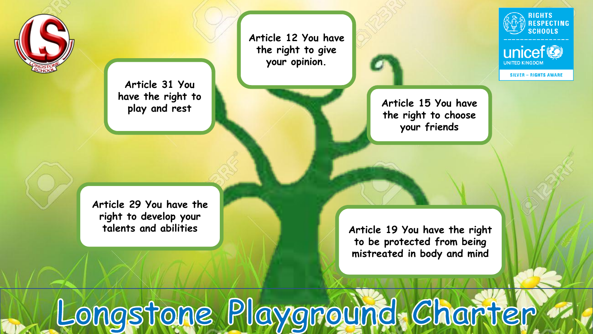

**Article 12 You have the right to give your opinion.**

**Article 31 You have the right to play and rest** 



**Article 15 You have the right to choose your friends** 

**RIGHTS RESPECTING SCHOOLS** 

unicef<sup>®</sup>

**SILVER - RIGHTS AWARE** 

**NITED KINGDON** 

**Article 29 You have the right to develop your talents and abilities** 

**Article 19 You have the right to be protected from being mistreated in body and mind**

Longstone Playground. Charter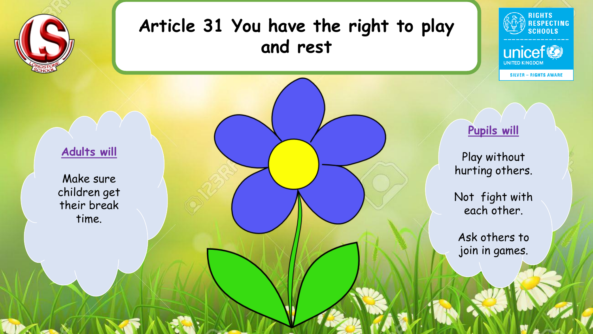

# **Article 31 You have the right to play and rest**



**SILVER - RIGHTS AWARE** 

**UNITED KINGDOM** 

#### **Adults will**

Make sure children get their break time.

#### **Pupils will**

Play without hurting others.

Not fight with each other.

Ask others to join in games.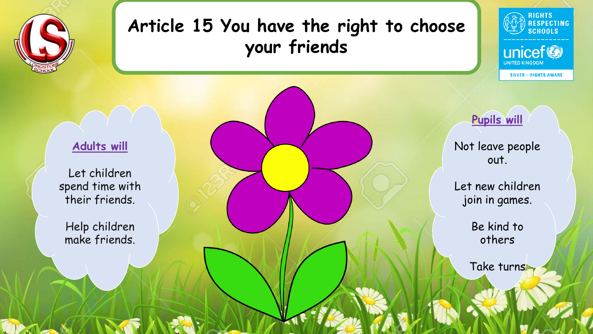

# **Article 15 You have the right to choose your friends**





**UNITED KINGDOM** 

#### **Adults will**

Let children spend time with their friends.

Help children make friends.

**Pupils will**

Not leave people out.

Let new children join in games.

> Be kind to others

Take turns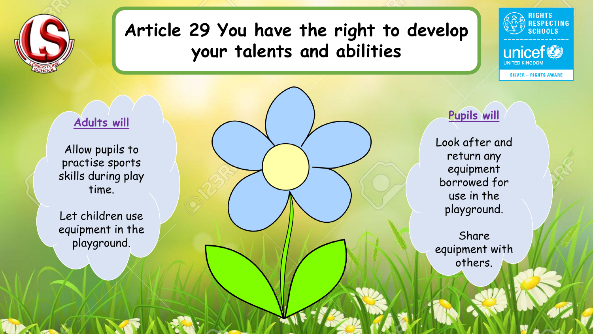

## **Article 29 You have the right to develop your talents and abilities**



**SILVER - RIGHTS AWARE** 

**UNITED KINGDOM** 

#### **Adults will**

Allow pupils to practise sports skills during play time.

Let children use equipment in the playground.

**Pupils will**

Look after and return any equipment borrowed for use in the playground.

Share equipment with others.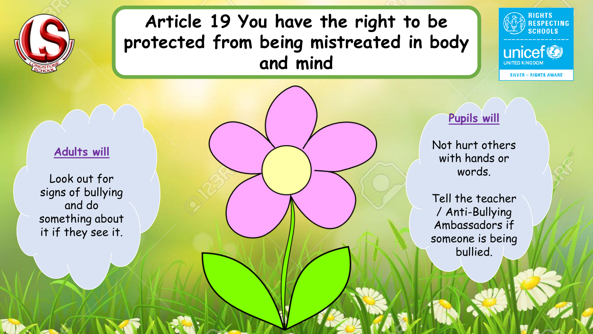

# **Article 19 You have the right to be protected from being mistreated in body and mind**



**SILVER - RIGHTS AWARE** 

**UNITED KINGDOM** 

### **Pupils will**

Not hurt others with hands or words.

Tell the teacher / Anti-Bullying Ambassadors if someone is being bullied.

#### **Adults will**

Look out for signs of bullying and do something about it if they see it.